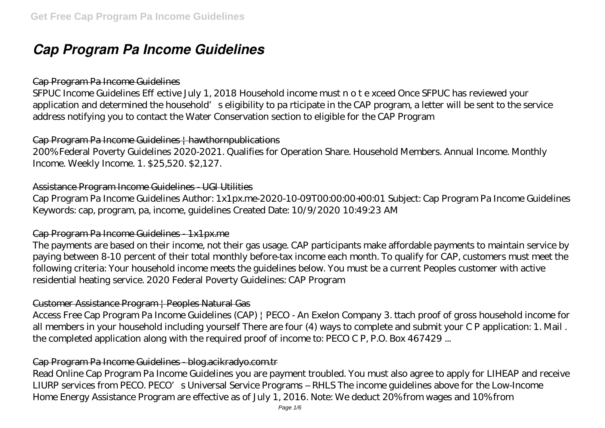# *Cap Program Pa Income Guidelines*

#### Cap Program Pa Income Guidelines

SFPUC Income Guidelines E ective July 1, 2018 Household income must n o t e xceed Once SFPUC has reviewed your application and determined the household's eligibility to pa rticipate in the CAP program, a letter will be sent to the service address notifying you to contact the Water Conservation section to eligible for the CAP Program

#### Cap Program Pa Income Guidelines | hawthornpublications

200% Federal Poverty Guidelines 2020-2021. Qualifies for Operation Share. Household Members. Annual Income. Monthly Income. Weekly Income. 1. \$25,520. \$2,127.

#### Assistance Program Income Guidelines - UGI Utilities

Cap Program Pa Income Guidelines Author: 1x1px.me-2020-10-09T00:00:00+00:01 Subject: Cap Program Pa Income Guidelines Keywords: cap, program, pa, income, guidelines Created Date: 10/9/2020 10:49:23 AM

#### Cap Program Pa Income Guidelines - 1x1px.me

The payments are based on their income, not their gas usage. CAP participants make affordable payments to maintain service by paying between 8-10 percent of their total monthly before-tax income each month. To qualify for CAP, customers must meet the following criteria: Your household income meets the guidelines below. You must be a current Peoples customer with active residential heating service. 2020 Federal Poverty Guidelines: CAP Program

#### Customer Assistance Program | Peoples Natural Gas

Access Free Cap Program Pa Income Guidelines (CAP) | PECO - An Exelon Company 3. ttach proof of gross household income for all members in your household including yourself There are four (4) ways to complete and submit your C P application: 1. Mail . the completed application along with the required proof of income to: PECO C P, P.O. Box 467429 ...

#### Cap Program Pa Income Guidelines - blog.acikradyo.com.tr

Read Online Cap Program Pa Income Guidelines you are payment troubled. You must also agree to apply for LIHEAP and receive LIURP services from PECO. PECO's Universal Service Programs – RHLS The income guidelines above for the Low-Income Home Energy Assistance Program are effective as of July 1, 2016. Note: We deduct 20% from wages and 10% from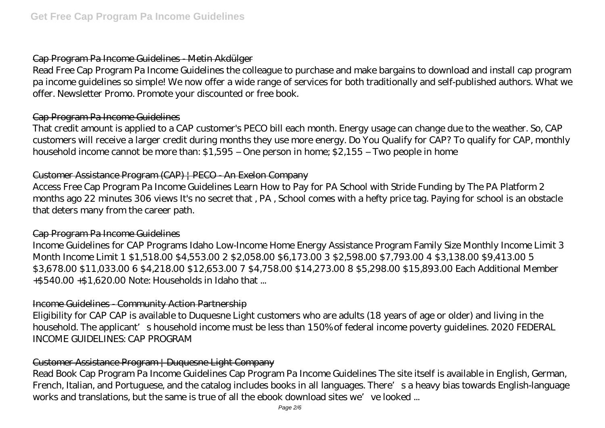## Cap Program Pa Income Guidelines - Metin Akdülger

Read Free Cap Program Pa Income Guidelines the colleague to purchase and make bargains to download and install cap program pa income guidelines so simple! We now offer a wide range of services for both traditionally and self-published authors. What we offer. Newsletter Promo. Promote your discounted or free book.

## Cap Program Pa Income Guidelines

That credit amount is applied to a CAP customer's PECO bill each month. Energy usage can change due to the weather. So, CAP customers will receive a larger credit during months they use more energy. Do You Qualify for CAP? To qualify for CAP, monthly household income cannot be more than: \$1,595 – One person in home; \$2,155 – Two people in home

## Customer Assistance Program (CAP) | PECO - An Exelon Company

Access Free Cap Program Pa Income Guidelines Learn How to Pay for PA School with Stride Funding by The PA Platform 2 months ago 22 minutes 306 views It's no secret that , PA , School comes with a hefty price tag. Paying for school is an obstacle that deters many from the career path.

## Cap Program Pa Income Guidelines

Income Guidelines for CAP Programs Idaho Low-Income Home Energy Assistance Program Family Size Monthly Income Limit 3 Month Income Limit 1 \$1,518.00 \$4,553.00 2 \$2,058.00 \$6,173.00 3 \$2,598.00 \$7,793.00 4 \$3,138.00 \$9,413.00 5 \$3,678.00 \$11,033.00 6 \$4,218.00 \$12,653.00 7 \$4,758.00 \$14,273.00 8 \$5,298.00 \$15,893.00 Each Additional Member +\$540.00 +\$1,620.00 Note: Households in Idaho that ...

# Income Guidelines - Community Action Partnership

Eligibility for CAP CAP is available to Duquesne Light customers who are adults (18 years of age or older) and living in the household. The applicant's household income must be less than 150% of federal income poverty guidelines. 2020 FEDERAL INCOME GUIDELINES: CAP PROGRAM

# Customer Assistance Program | Duquesne Light Company

Read Book Cap Program Pa Income Guidelines Cap Program Pa Income Guidelines The site itself is available in English, German, French, Italian, and Portuguese, and the catalog includes books in all languages. There's a heavy bias towards English-language works and translations, but the same is true of all the ebook download sites we've looked ...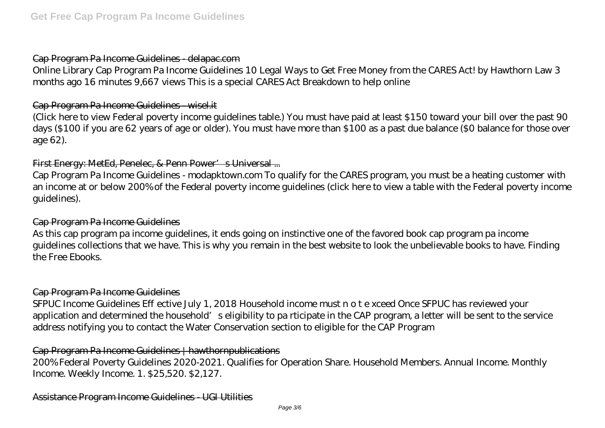#### Cap Program Pa Income Guidelines - delapac.com

Online Library Cap Program Pa Income Guidelines 10 Legal Ways to Get Free Money from the CARES Act! by Hawthorn Law 3 months ago 16 minutes 9,667 views This is a special CARES Act Breakdown to help online

#### Cap Program Pa Income Guidelines - wisel.it

(Click here to view Federal poverty income guidelines table.) You must have paid at least \$150 toward your bill over the past 90 days (\$100 if you are 62 years of age or older). You must have more than \$100 as a past due balance (\$0 balance for those over age 62).

## First Energy: MetEd, Penelec, & Penn Power's Universal ...

Cap Program Pa Income Guidelines - modapktown.com To qualify for the CARES program, you must be a heating customer with an income at or below 200% of the Federal poverty income guidelines (click here to view a table with the Federal poverty income guidelines).

#### Cap Program Pa Income Guidelines

As this cap program pa income guidelines, it ends going on instinctive one of the favored book cap program pa income guidelines collections that we have. This is why you remain in the best website to look the unbelievable books to have. Finding the Free Ebooks.

#### Cap Program Pa Income Guidelines

SFPUC Income Guidelines E ective July 1, 2018 Household income must n o t e xceed Once SFPUC has reviewed your application and determined the household's eligibility to pa rticipate in the CAP program, a letter will be sent to the service address notifying you to contact the Water Conservation section to eligible for the CAP Program

## Cap Program Pa Income Guidelines | hawthornpublications

200% Federal Poverty Guidelines 2020-2021. Qualifies for Operation Share. Household Members. Annual Income. Monthly Income. Weekly Income. 1. \$25,520. \$2,127.

Assistance Program Income Guidelines - UGI Utilities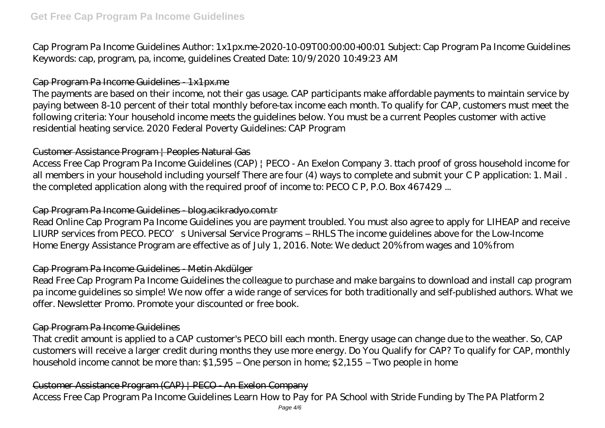Cap Program Pa Income Guidelines Author: 1x1px.me-2020-10-09T00:00:00+00:01 Subject: Cap Program Pa Income Guidelines Keywords: cap, program, pa, income, guidelines Created Date: 10/9/2020 10:49:23 AM

# Cap Program Pa Income Guidelines - 1x1px.me

The payments are based on their income, not their gas usage. CAP participants make affordable payments to maintain service by paying between 8-10 percent of their total monthly before-tax income each month. To qualify for CAP, customers must meet the following criteria: Your household income meets the guidelines below. You must be a current Peoples customer with active residential heating service. 2020 Federal Poverty Guidelines: CAP Program

## Customer Assistance Program | Peoples Natural Gas

Access Free Cap Program Pa Income Guidelines (CAP) | PECO - An Exelon Company 3. ttach proof of gross household income for all members in your household including yourself There are four (4) ways to complete and submit your C P application: 1. Mail . the completed application along with the required proof of income to: PECO C P, P.O. Box 467429 ...

## Cap Program Pa Income Guidelines - blog.acikradyo.com.tr

Read Online Cap Program Pa Income Guidelines you are payment troubled. You must also agree to apply for LIHEAP and receive LIURP services from PECO. PECO's Universal Service Programs – RHLS The income guidelines above for the Low-Income Home Energy Assistance Program are effective as of July 1, 2016. Note: We deduct 20% from wages and 10% from

## Cap Program Pa Income Guidelines - Metin Akdülger

Read Free Cap Program Pa Income Guidelines the colleague to purchase and make bargains to download and install cap program pa income guidelines so simple! We now offer a wide range of services for both traditionally and self-published authors. What we offer. Newsletter Promo. Promote your discounted or free book.

## Cap Program Pa Income Guidelines

That credit amount is applied to a CAP customer's PECO bill each month. Energy usage can change due to the weather. So, CAP customers will receive a larger credit during months they use more energy. Do You Qualify for CAP? To qualify for CAP, monthly household income cannot be more than: \$1,595 – One person in home; \$2,155 – Two people in home

## Customer Assistance Program (CAP) | PECO - An Exelon Company

Access Free Cap Program Pa Income Guidelines Learn How to Pay for PA School with Stride Funding by The PA Platform 2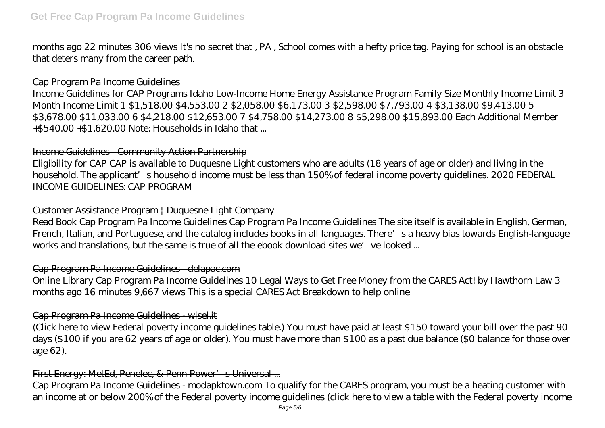months ago 22 minutes 306 views It's no secret that , PA , School comes with a hefty price tag. Paying for school is an obstacle that deters many from the career path.

## Cap Program Pa Income Guidelines

Income Guidelines for CAP Programs Idaho Low-Income Home Energy Assistance Program Family Size Monthly Income Limit 3 Month Income Limit 1 \$1,518.00 \$4,553.00 2 \$2,058.00 \$6,173.00 3 \$2,598.00 \$7,793.00 4 \$3,138.00 \$9,413.00 5 \$3,678.00 \$11,033.00 6 \$4,218.00 \$12,653.00 7 \$4,758.00 \$14,273.00 8 \$5,298.00 \$15,893.00 Each Additional Member +\$540.00 +\$1,620.00 Note: Households in Idaho that ...

# Income Guidelines - Community Action Partnership

Eligibility for CAP CAP is available to Duquesne Light customers who are adults (18 years of age or older) and living in the household. The applicant's household income must be less than 150% of federal income poverty guidelines. 2020 FEDERAL INCOME GUIDELINES: CAP PROGRAM

# Customer Assistance Program | Duquesne Light Company

Read Book Cap Program Pa Income Guidelines Cap Program Pa Income Guidelines The site itself is available in English, German, French, Italian, and Portuguese, and the catalog includes books in all languages. There's a heavy bias towards English-language works and translations, but the same is true of all the ebook download sites we've looked ...

# Cap Program Pa Income Guidelines - delapac.com

Online Library Cap Program Pa Income Guidelines 10 Legal Ways to Get Free Money from the CARES Act! by Hawthorn Law 3 months ago 16 minutes 9,667 views This is a special CARES Act Breakdown to help online

## Cap Program Pa Income Guidelines - wisel.it

(Click here to view Federal poverty income guidelines table.) You must have paid at least \$150 toward your bill over the past 90 days (\$100 if you are 62 years of age or older). You must have more than \$100 as a past due balance (\$0 balance for those over age 62).

# First Energy: MetEd, Penelec, & Penn Power's Universal ...

Cap Program Pa Income Guidelines - modapktown.com To qualify for the CARES program, you must be a heating customer with an income at or below 200% of the Federal poverty income guidelines (click here to view a table with the Federal poverty income